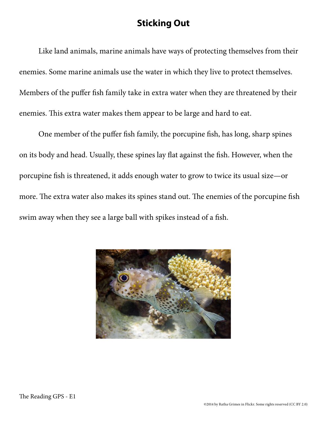## **Sticking Out**

Like land animals, marine animals have ways of protecting themselves from their enemies. Some marine animals use the water in which they live to protect themselves. Members of the puffer fish family take in extra water when they are threatened by their enemies. This extra water makes them appear to be large and hard to eat.

One member of the puffer fish family, the porcupine fish, has long, sharp spines on its body and head. Usually, these spines lay flat against the fish. However, when the porcupine fish is threatened, it adds enough water to grow to twice its usual size—or more. The extra water also makes its spines stand out. The enemies of the porcupine fish swim away when they see a large ball with spikes instead of a fish.